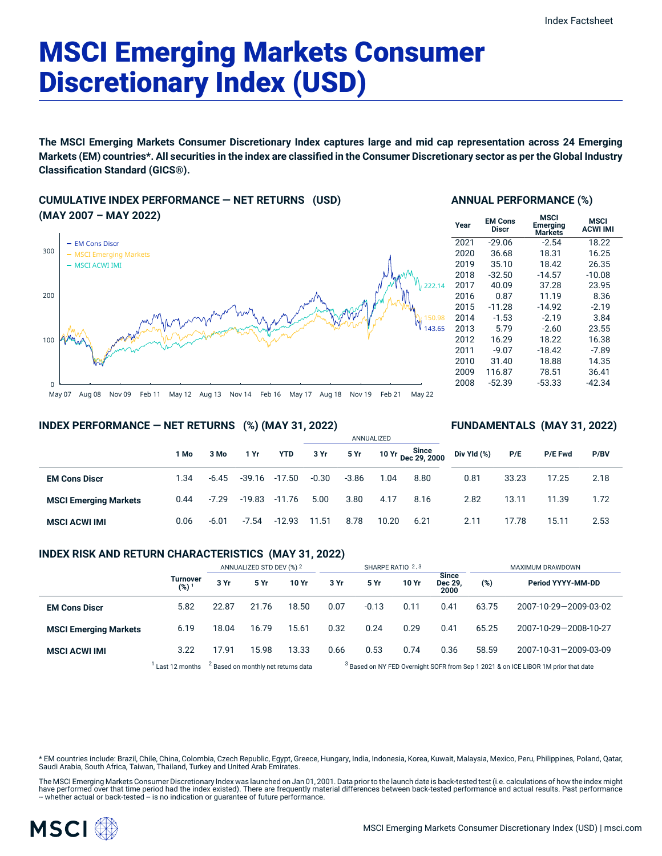# MSCI Emerging Markets Consumer Discretionary Index (USD)

**The MSCI Emerging Markets Consumer Discretionary Index captures large and mid cap representation across 24 Emerging** Markets (EM) countries\*. All securities in the index are classified in the Consumer Discretionary sector as per the Global Industry **Classification Standard (GICS®).**

**CUMULATIVE INDEX PERFORMANCE — NET RETURNS (USD) (MAY 2007 – MAY 2022)**



## **ANNUAL PERFORMANCE (%)**

| Year | <b>EM Cons</b><br><b>Discr</b> | <b>MSCI</b><br>Emerging<br>Markets | <b>MSCI</b><br><b>ACWI IMI</b> |
|------|--------------------------------|------------------------------------|--------------------------------|
| 2021 | $-29.06$                       | $-2.54$                            | 18.22                          |
| 2020 | 36.68                          | 18.31                              | 16.25                          |
| 2019 | 35.10                          | 18.42                              | 26.35                          |
| 2018 | $-32.50$                       | $-14.57$                           | $-10.08$                       |
| 2017 | 40.09                          | 37.28                              | 23.95                          |
| 2016 | 0.87                           | 11.19                              | 8.36                           |
| 2015 | $-11.28$                       | $-14.92$                           | $-2.19$                        |
| 2014 | $-1.53$                        | $-2.19$                            | 3.84                           |
| 2013 | 5.79                           | $-2.60$                            | 23.55                          |
| 2012 | 16.29                          | 18.22                              | 16.38                          |
| 2011 | $-9.07$                        | $-18.42$                           | $-7.89$                        |
| 2010 | 31.40                          | 18.88                              | 14.35                          |
| 2009 | 116.87                         | 78.51                              | 36.41                          |
| 2008 | $-52.39$                       | $-53.33$                           | $-42.34$                       |
|      |                                |                                    |                                |

**FUNDAMENTALS (MAY 31, 2022)**

## **INDEX PERFORMANCE — NET RETURNS (%) (MAY 31, 2022)**

|                              |      |         |          |            | ANNUALIZED |         |       |                             |             |       |         |      |  |
|------------------------------|------|---------|----------|------------|------------|---------|-------|-----------------------------|-------------|-------|---------|------|--|
|                              | 1 Mo | 3 Mo    | 1 Yr     | <b>YTD</b> | 3 Yr       | 5 Yr    |       | 10 Yr Since<br>Dec 29, 2000 | Div Yld (%) | P/E   | P/E Fwd | P/BV |  |
| <b>EM Cons Discr</b>         | 1.34 | $-6.45$ | -39.16   | $-17.50$   | $-0.30$    | $-3.86$ | 1.04  | 8.80                        | 0.81        | 33.23 | 17.25   | 2.18 |  |
| <b>MSCI Emerging Markets</b> | 0.44 | $-7.29$ | $-19.83$ | $-11.76$   | 5.00       | 3.80    | 4.17  | 8.16                        | 2.82        | 13.11 | 11.39   | 1.72 |  |
| <b>MSCI ACWI IMI</b>         | 0.06 | $-6.01$ | $-7.54$  | $-12.93$   | 11.51      | 8.78    | 10.20 | 6.21                        | 2.11        | 17.78 | 15.11   | 2.53 |  |

## **INDEX RISK AND RETURN CHARACTERISTICS (MAY 31, 2022)**

|                              |                              | ANNUALIZED STD DEV (%) 2 |                                                |       | SHARPE RATIO 2,3                                                                              |         |       |                          | MAXIMUM DRAWDOWN |                       |  |
|------------------------------|------------------------------|--------------------------|------------------------------------------------|-------|-----------------------------------------------------------------------------------------------|---------|-------|--------------------------|------------------|-----------------------|--|
|                              | Turnover<br>(%) <sup>1</sup> | 3 Yr                     | 5 Yr                                           | 10 Yr | 3 Yr                                                                                          | 5 Yr    | 10 Yr | Since<br>Dec 29,<br>2000 | (%)              | Period YYYY-MM-DD     |  |
| <b>EM Cons Discr</b>         | 5.82                         | 22.87                    | 21.76                                          | 18.50 | 0.07                                                                                          | $-0.13$ | 0.11  | 0.41                     | 63.75            | 2007-10-29-2009-03-02 |  |
| <b>MSCI Emerging Markets</b> | 6.19                         | 18.04                    | 16.79                                          | 15.61 | 0.32                                                                                          | 0.24    | 0.29  | 0.41                     | 65.25            | 2007-10-29-2008-10-27 |  |
| <b>MSCI ACWI IMI</b>         | 3.22                         | 17.91                    | 15.98                                          | 13.33 | 0.66                                                                                          | 0.53    | 0.74  | 0.36                     | 58.59            | 2007-10-31-2009-03-09 |  |
|                              | Last 12 months               |                          | <sup>2</sup> Based on monthly net returns data |       | <sup>3</sup> Based on NY FED Overnight SOFR from Sep 1 2021 & on ICE LIBOR 1M prior that date |         |       |                          |                  |                       |  |

\* EM countries include: Brazil, Chile, China, Colombia, Czech Republic, Egypt, Greece, Hungary, India, Indonesia, Korea, Kuwait, Malaysia, Mexico, Peru, Philippines, Poland, Qatar, Saudi Arabia, South Africa, Taiwan, Thailand, Turkey and United Arab Emirates.

The MSCI Emerging Markets Consumer Discretionary Index was launched on Jan 01, 2001. Data prior to the launch date is back-tested test (i.e. calculations of how the index might have performed over that time period had the index existed). There are frequently material differences between back-tested performance and actual results. Past performance<br>– whether actual or back-tested – is no indication

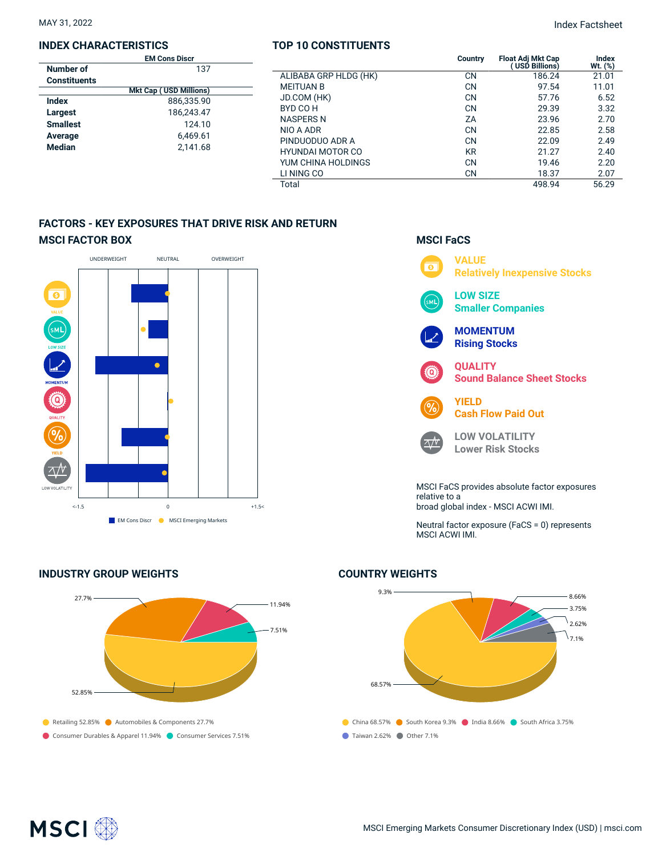#### **INDEX CHARACTERISTICS**

|                     | <b>EM Cons Discr</b>          |  |
|---------------------|-------------------------------|--|
| Number of           | 137                           |  |
| <b>Constituents</b> |                               |  |
|                     | <b>Mkt Cap (USD Millions)</b> |  |
| Index               | 886.335.90                    |  |
| Largest             | 186.243.47                    |  |
| <b>Smallest</b>     | 124.10                        |  |
| Average             | 6,469.61                      |  |
| <b>Median</b>       | 2.141.68                      |  |
|                     |                               |  |

## **TOP 10 CONSTITUENTS**

MAY 31, 2022 Index Factsheet

|                               | <b>EM Cons Discr</b>    |                       | <b>Country</b> | <b>Float Adi Mkt Cap</b> | Index     |
|-------------------------------|-------------------------|-----------------------|----------------|--------------------------|-----------|
| nber of                       | 137                     |                       |                | USD Billions)            | $Wt.$ (%) |
| ıstituents                    |                         | ALIBABA GRP HLDG (HK) | <b>CN</b>      | 186.24                   | 21.01     |
| <b>Mkt Cap (USD Millions)</b> |                         | <b>MEITUAN B</b>      | <b>CN</b>      | 97.54                    | 11.01     |
| eх                            | 886,335.90              | JD.COM (HK)           | <b>CN</b>      | 57.76                    | 6.52      |
| gest                          | 186,243.47              | BYD CO H              | <b>CN</b>      | 29.39                    | 3.32      |
| allest                        | 124.10                  | <b>NASPERS N</b>      | ZA             | 23.96                    | 2.70      |
|                               |                         | NIO A ADR             | <b>CN</b>      | 22.85                    | 2.58      |
| rage                          | 6,469.61                | PINDUODUO ADR A       | <b>CN</b>      | 22.09                    | 2.49      |
| dian<br>2,141.68              | <b>HYUNDAI MOTOR CO</b> | <b>KR</b>             | 21.27          | 2.40                     |           |
|                               |                         | YUM CHINA HOLDINGS    | <b>CN</b>      | 19.46                    | 2.20      |
|                               |                         | LI NING CO            | <b>CN</b>      | 18.37                    | 2.07      |
|                               |                         | Total                 |                | 498.94                   | 56.29     |
|                               |                         |                       |                |                          |           |

## **FACTORS - KEY EXPOSURES THAT DRIVE RISK AND RETURN MSCI FACTOR BOX**



## **INDUSTRY GROUP WEIGHTS**





Neutral factor exposure (FaCS = 0) represents MSCI ACWI IMI.

## **COUNTRY WEIGHTS**